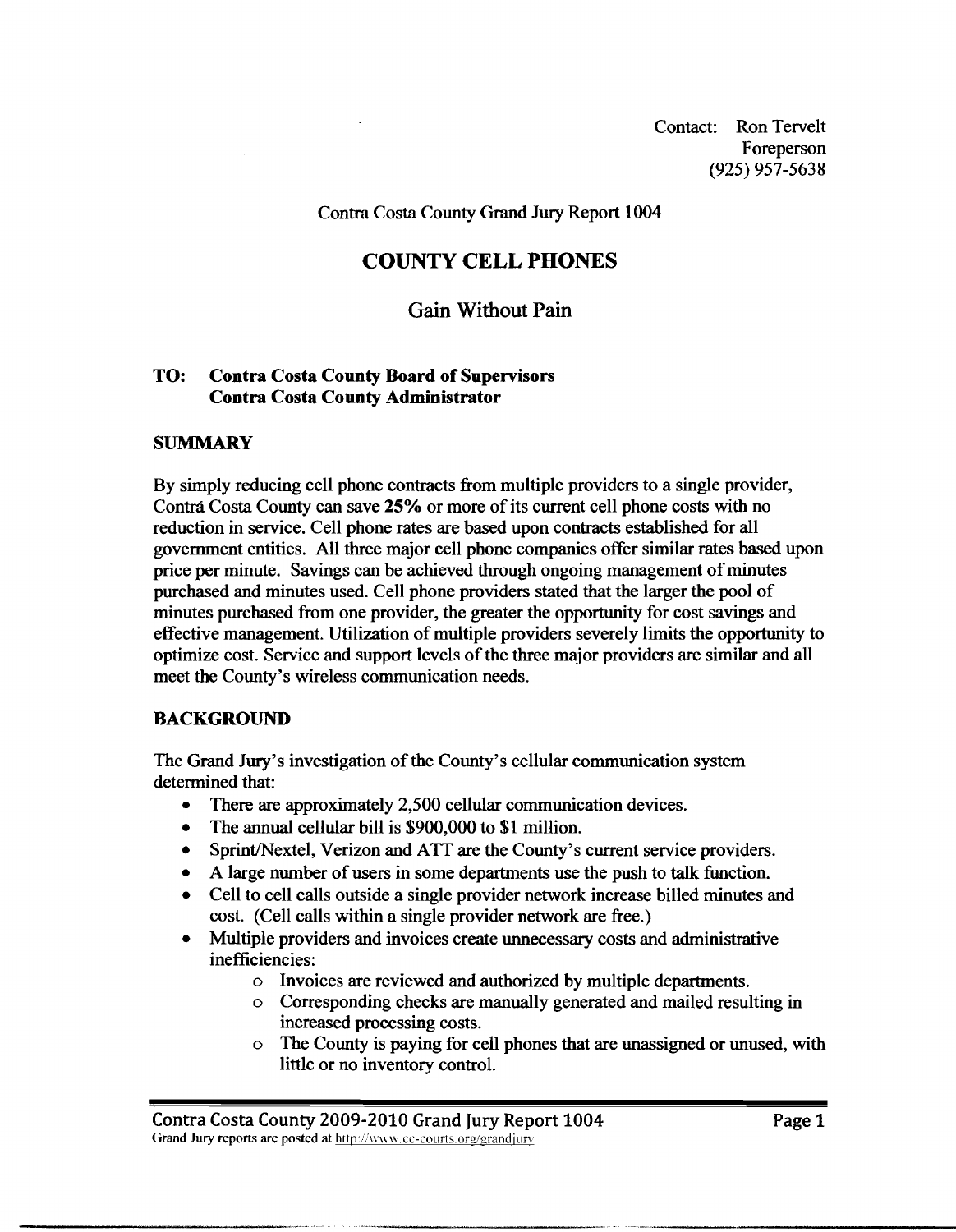Contact: Ron Tervelt Foreperson (925) 957-5638

Contra Costa County Grand Jury Report 1004

# **COUNTY CELL PHONES**

# **Gain Without Pain**

### **TO: Contra Costa County Board of Supervisors Contra Costa County Administrator**

### **SUMMARY**

By simply reducing cell phone contracts from multiple providers to a single provider, Contrá Costa County can save 25% or more of its current cell phone costs with no reduction in service. Cell phone rates are based upon contracts established for all government entities. All three major cell phone companies offer similar rates based upon price per minute. Savings can be achieved through ongoing management of minutes purchased and minutes used. Cell phone providers stated that the larger the pool of minutes purchased from one provider, the greater the opportunity for cost savings and effective management. Utilization of multiple providers severely limits the opportunity to optimize cost. Service and support levels of the three major providers are similar and all meet the County's wireless communication needs.

## **BACKGROUND**

The Grand Jury's investigation of the County's cellular communication system determined that:

- $\bullet$ There are approximately 2,500 cellular communication devices.
- The annual cellular bill is \$900,000 to \$1 million.
- Sprint/Nextel, Verizon and ATT are the County's current service providers.  $\bullet$
- A large number of users in some departments use the push to talk function.
- Cell to cell calls outside a single provider network increase billed minutes and cost. (Cell calls within a single provider network are free.)
- Multiple providers and invoices create unnecessary costs and administrative inefficiencies:
	- o Invoices are reviewed and authorized by multiple departments.
	- o Corresponding checks are manually generated and mailed resulting in increased processing costs.
	- o The County is paying for cell phones that are unassigned or unused, with little or no inventory control.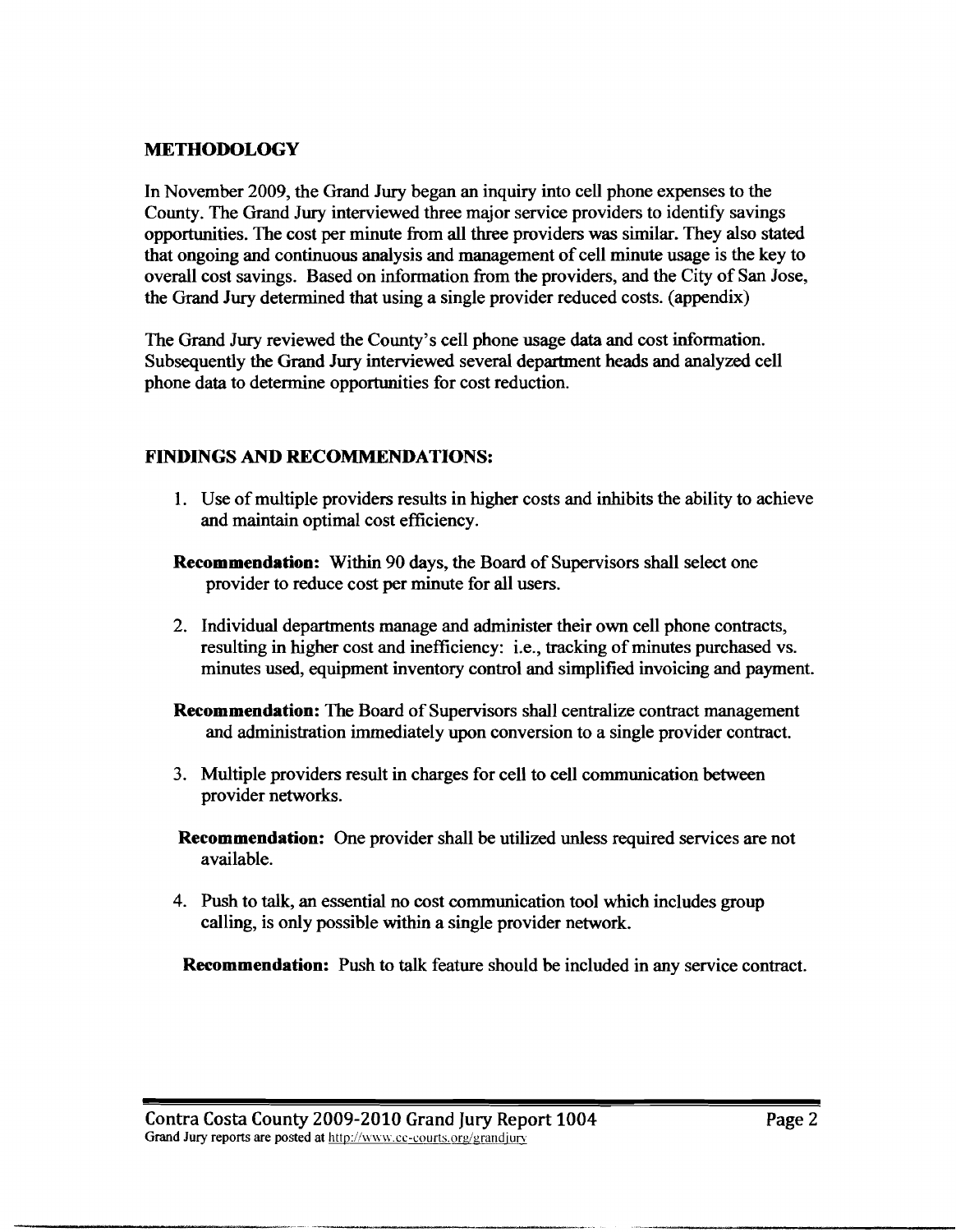## **METHODOLOGY**

In November 2009, the Grand Jury began an inquiry into cell phone expenses to the County. The Grand Jury interviewed three major service providers to identify savings opportunities. The cost per minute fiom all three providers was similar. They also stated that ongoing and continuous analysis and management of cell minute usage is the key to overall cost savings. Based on information fiom the providers, and the City of **San** Jose, the Grand Jury determined that using a single provider reduced costs. (appendix)

The Grand Jury reviewed the County's cell phone usage data and cost information. Subsequently the Grand Jury interviewed several department heads and analyzed cell phone data to determine opportunities for cost reduction.

## **FINDINGS AND RECOMMENDATIONS:**

- 1. Use of multiple providers results in higher costs and inhibits the ability to achieve and maintain optimal cost efficiency.
- **Recommendation:** Within 90 days, the Board of Supervisors shall select one provider to reduce cost per minute for all users.
- 2. Individual departments manage and administer their own cell phone contracts, resulting in higher cost and inefficiency: i.e., tracking of minutes purchased vs. minutes used, equipment inventory control and simplified invoicing and payment.
- **Recommendation:** The Board of Supervisors shall centralize contract management and administration immediately upon conversion to a single provider contract.
- 3. Multiple providers result in charges for cell to cell communication between provider networks.
- **Recommendation:** One provider shall be utilized unless required services are not available.
- 4. Push to talk, an essential no cost communication tool which includes group calling, is only possible within a single provider network.

**Recommendation:** Push to **talk** feature should be included in any service contract.